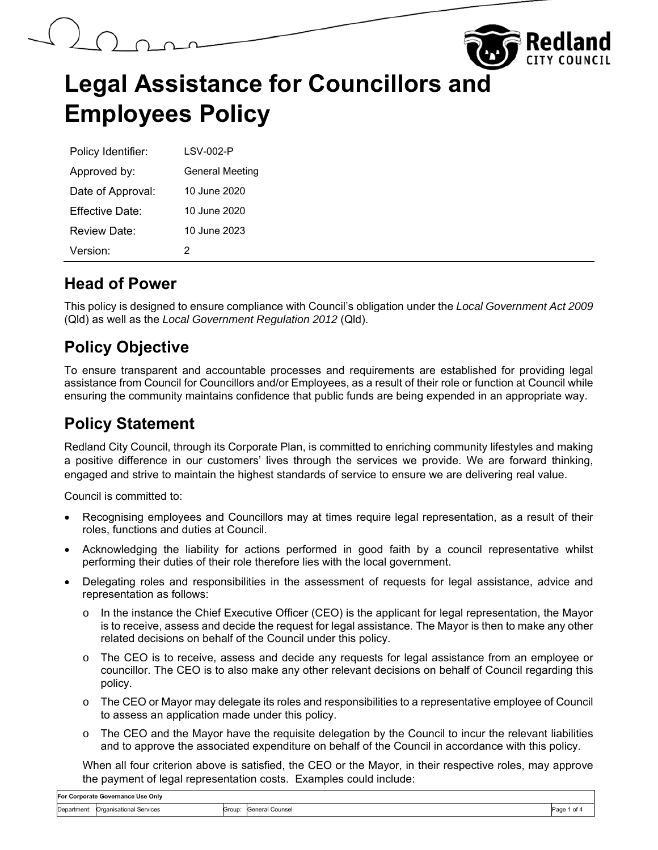

| Policy Identifier:   | LSV-002-P              |
|----------------------|------------------------|
| Approved by:         | <b>General Meeting</b> |
| Date of Approval:    | 10 June 2020           |
| Fffective Date:      | 10 June 2020           |
| Review Date:         | 10 June 2023           |
| Version <sup>.</sup> | 2                      |

### **Head of Power**

This policy is designed to ensure compliance with Council's obligation under the *Local Government Act 2009*  (Qld) as well as the *Local Government Regulation 2012* (Qld).

## **Policy Objective**

To ensure transparent and accountable processes and requirements are established for providing legal assistance from Council for Councillors and/or Employees, as a result of their role or function at Council while ensuring the community maintains confidence that public funds are being expended in an appropriate way.

### **Policy Statement**

Redland City Council, through its Corporate Plan, is committed to enriching community lifestyles and making a positive difference in our customers' lives through the services we provide. We are forward thinking, engaged and strive to maintain the highest standards of service to ensure we are delivering real value.

Council is committed to:

- Recognising employees and Councillors may at times require legal representation, as a result of their roles, functions and duties at Council.
- Acknowledging the liability for actions performed in good faith by a council representative whilst performing their duties of their role therefore lies with the local government.
- Delegating roles and responsibilities in the assessment of requests for legal assistance, advice and representation as follows:
	- In the instance the Chief Executive Officer (CEO) is the applicant for legal representation, the Mayor is to receive, assess and decide the request for legal assistance. The Mayor is then to make any other related decisions on behalf of the Council under this policy.
	- o The CEO is to receive, assess and decide any requests for legal assistance from an employee or councillor. The CEO is to also make any other relevant decisions on behalf of Council regarding this policy.
	- o The CEO or Mayor may delegate its roles and responsibilities to a representative employee of Council to assess an application made under this policy.
	- $\circ$  The CEO and the Mayor have the requisite delegation by the Council to incur the relevant liabilities and to approve the associated expenditure on behalf of the Council in accordance with this policy.

When all four criterion above is satisfied, the CEO or the Mayor, in their respective roles, may approve the payment of legal representation costs. Examples could include: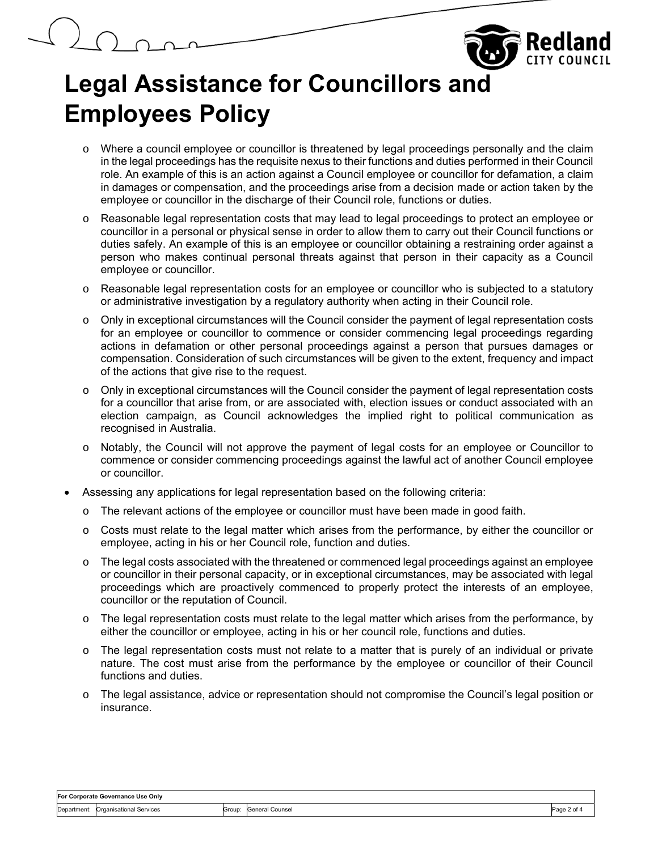

- o Where a council employee or councillor is threatened by legal proceedings personally and the claim in the legal proceedings has the requisite nexus to their functions and duties performed in their Council role. An example of this is an action against a Council employee or councillor for defamation, a claim in damages or compensation, and the proceedings arise from a decision made or action taken by the employee or councillor in the discharge of their Council role, functions or duties.
- o Reasonable legal representation costs that may lead to legal proceedings to protect an employee or councillor in a personal or physical sense in order to allow them to carry out their Council functions or duties safely. An example of this is an employee or councillor obtaining a restraining order against a person who makes continual personal threats against that person in their capacity as a Council employee or councillor.
- o Reasonable legal representation costs for an employee or councillor who is subjected to a statutory or administrative investigation by a regulatory authority when acting in their Council role.
- o Only in exceptional circumstances will the Council consider the payment of legal representation costs for an employee or councillor to commence or consider commencing legal proceedings regarding actions in defamation or other personal proceedings against a person that pursues damages or compensation. Consideration of such circumstances will be given to the extent, frequency and impact of the actions that give rise to the request.
- o Only in exceptional circumstances will the Council consider the payment of legal representation costs for a councillor that arise from, or are associated with, election issues or conduct associated with an election campaign, as Council acknowledges the implied right to political communication as recognised in Australia.
- o Notably, the Council will not approve the payment of legal costs for an employee or Councillor to commence or consider commencing proceedings against the lawful act of another Council employee or councillor.
- Assessing any applications for legal representation based on the following criteria:
	- $\circ$  The relevant actions of the employee or councillor must have been made in good faith.
	- o Costs must relate to the legal matter which arises from the performance, by either the councillor or employee, acting in his or her Council role, function and duties.
	- o The legal costs associated with the threatened or commenced legal proceedings against an employee or councillor in their personal capacity, or in exceptional circumstances, may be associated with legal proceedings which are proactively commenced to properly protect the interests of an employee, councillor or the reputation of Council.
	- $\circ$  The legal representation costs must relate to the legal matter which arises from the performance, by either the councillor or employee, acting in his or her council role, functions and duties.
	- $\circ$  The legal representation costs must not relate to a matter that is purely of an individual or private nature. The cost must arise from the performance by the employee or councillor of their Council functions and duties.
	- o The legal assistance, advice or representation should not compromise the Council's legal position or insurance.

| For Corporate Governance Use Only |                         |        |                 |                    |
|-----------------------------------|-------------------------|--------|-----------------|--------------------|
| Department:                       | Organisational Services | Group: | General Counsel | Page<br>$2$ of $4$ |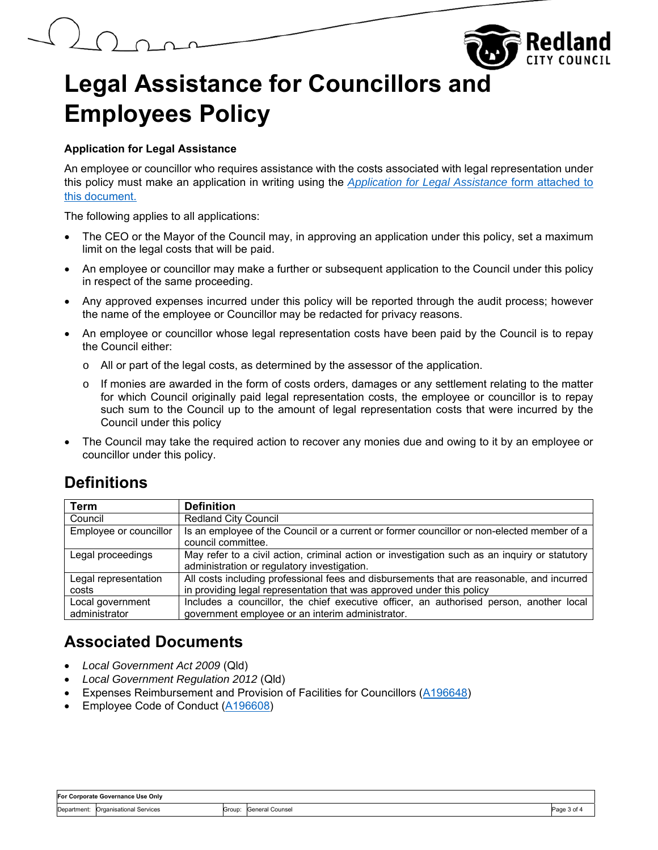

#### **Application for Legal Assistance**

An employee or councillor who requires assistance with the costs associated with legal representation under this policy must make an application in writing using the *Application for Legal Assistance* form attached to this document.

The following applies to all applications:

- The CEO or the Mayor of the Council may, in approving an application under this policy, set a maximum limit on the legal costs that will be paid.
- An employee or councillor may make a further or subsequent application to the Council under this policy in respect of the same proceeding.
- Any approved expenses incurred under this policy will be reported through the audit process; however the name of the employee or Councillor may be redacted for privacy reasons.
- An employee or councillor whose legal representation costs have been paid by the Council is to repay the Council either:
	- o All or part of the legal costs, as determined by the assessor of the application.
	- o If monies are awarded in the form of costs orders, damages or any settlement relating to the matter for which Council originally paid legal representation costs, the employee or councillor is to repay such sum to the Council up to the amount of legal representation costs that were incurred by the Council under this policy
- The Council may take the required action to recover any monies due and owing to it by an employee or councillor under this policy.

## **Definitions**

| <b>Term</b>            | <b>Definition</b>                                                                             |
|------------------------|-----------------------------------------------------------------------------------------------|
| Council                | <b>Redland City Council</b>                                                                   |
| Employee or councillor | Is an employee of the Council or a current or former councillor or non-elected member of a    |
|                        | council committee.                                                                            |
| Legal proceedings      | May refer to a civil action, criminal action or investigation such as an inquiry or statutory |
|                        | administration or regulatory investigation.                                                   |
| Legal representation   | All costs including professional fees and disbursements that are reasonable, and incurred     |
| costs                  | in providing legal representation that was approved under this policy                         |
| Local government       | Includes a councillor, the chief executive officer, an authorised person, another local       |
| administrator          | government employee or an interim administrator.                                              |

## **Associated Documents**

- *Local Government Act 2009* (Qld)
- *Local Government Regulation 2012* (Qld)
- Expenses Reimbursement and Provision of Facilities for Councillors (A196648)
- Employee Code of Conduct (A196608)

| For Corporate Governance Use Only |                         |        |                 |       |  |
|-----------------------------------|-------------------------|--------|-----------------|-------|--|
| Department:                       | Organisational Services | Group: | General Counsel | Page, |  |
|                                   |                         |        |                 | 3 O   |  |